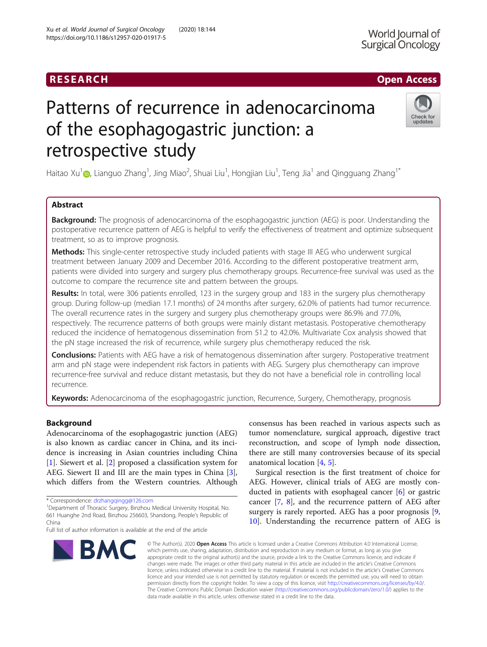# RESEARCH **RESEARCH CHOOSE ACCESS**

# Check for undates

# Patterns of recurrence in adenocarcinoma of the esophagogastric junction: a retrospective study

Haitao Xu $^1$  $^1$ @, Lianguo Zhang $^1$ , Jing Miao $^2$ , Shuai Liu $^1$ , Hongjian Liu $^1$ , Teng Jia $^1$  and Qingguang Zhang $^1{}^*$ 

# Abstract

**Background:** The prognosis of adenocarcinoma of the esophagogastric junction (AEG) is poor. Understanding the postoperative recurrence pattern of AEG is helpful to verify the effectiveness of treatment and optimize subsequent treatment, so as to improve prognosis.

Methods: This single-center retrospective study included patients with stage III AEG who underwent surgical treatment between January 2009 and December 2016. According to the different postoperative treatment arm, patients were divided into surgery and surgery plus chemotherapy groups. Recurrence-free survival was used as the outcome to compare the recurrence site and pattern between the groups.

Results: In total, were 306 patients enrolled, 123 in the surgery group and 183 in the surgery plus chemotherapy group. During follow-up (median 17.1 months) of 24 months after surgery, 62.0% of patients had tumor recurrence. The overall recurrence rates in the surgery and surgery plus chemotherapy groups were 86.9% and 77.0%, respectively. The recurrence patterns of both groups were mainly distant metastasis. Postoperative chemotherapy reduced the incidence of hematogenous dissemination from 51.2 to 42.0%. Multivariate Cox analysis showed that the pN stage increased the risk of recurrence, while surgery plus chemotherapy reduced the risk.

**Conclusions:** Patients with AEG have a risk of hematogenous dissemination after surgery. Postoperative treatment arm and pN stage were independent risk factors in patients with AEG. Surgery plus chemotherapy can improve recurrence-free survival and reduce distant metastasis, but they do not have a beneficial role in controlling local recurrence.

Keywords: Adenocarcinoma of the esophagogastric junction, Recurrence, Surgery, Chemotherapy, prognosis

# Background

Adenocarcinoma of the esophagogastric junction (AEG) is also known as cardiac cancer in China, and its incidence is increasing in Asian countries including China [[1\]](#page-6-0). Siewert et al. [[2\]](#page-6-0) proposed a classification system for AEG. Siewert II and III are the main types in China [\[3](#page-6-0)], which differs from the Western countries. Although

Full list of author information is available at the end of the article



consensus has been reached in various aspects such as tumor nomenclature, surgical approach, digestive tract reconstruction, and scope of lymph node dissection, there are still many controversies because of its special anatomical location [\[4,](#page-6-0) [5\]](#page-6-0).

Surgical resection is the first treatment of choice for AEG. However, clinical trials of AEG are mostly conducted in patients with esophageal cancer [\[6](#page-6-0)] or gastric cancer [[7,](#page-6-0) [8](#page-6-0)], and the recurrence pattern of AEG after surgery is rarely reported. AEG has a poor prognosis [\[9](#page-6-0), [10\]](#page-6-0). Understanding the recurrence pattern of AEG is

© The Author(s), 2020 **Open Access** This article is licensed under a Creative Commons Attribution 4.0 International License, which permits use, sharing, adaptation, distribution and reproduction in any medium or format, as long as you give appropriate credit to the original author(s) and the source, provide a link to the Creative Commons licence, and indicate if changes were made. The images or other third party material in this article are included in the article's Creative Commons licence, unless indicated otherwise in a credit line to the material. If material is not included in the article's Creative Commons licence and your intended use is not permitted by statutory regulation or exceeds the permitted use, you will need to obtain permission directly from the copyright holder. To view a copy of this licence, visit [http://creativecommons.org/licenses/by/4.0/.](http://creativecommons.org/licenses/by/4.0/) The Creative Commons Public Domain Dedication waiver [\(http://creativecommons.org/publicdomain/zero/1.0/](http://creativecommons.org/publicdomain/zero/1.0/)) applies to the data made available in this article, unless otherwise stated in a credit line to the data.

<sup>\*</sup> Correspondence: [drzhangqingg@126.com](mailto:drzhangqingg@126.com) <sup>1</sup>

<sup>&</sup>lt;sup>1</sup>Department of Thoracic Surgery, Binzhou Medical University Hospital, No. 661 Huanghe 2nd Road, Binzhou 256603, Shandong, People's Republic of China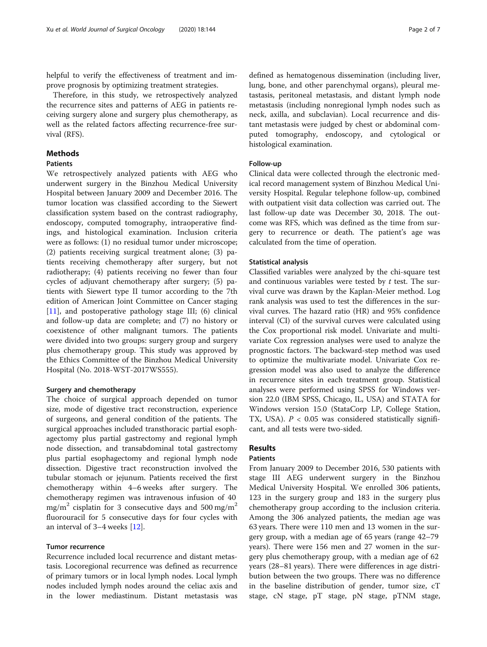helpful to verify the effectiveness of treatment and improve prognosis by optimizing treatment strategies.

Therefore, in this study, we retrospectively analyzed the recurrence sites and patterns of AEG in patients receiving surgery alone and surgery plus chemotherapy, as well as the related factors affecting recurrence-free survival (RFS).

# **Methods**

# Patients

We retrospectively analyzed patients with AEG who underwent surgery in the Binzhou Medical University Hospital between January 2009 and December 2016. The tumor location was classified according to the Siewert classification system based on the contrast radiography, endoscopy, computed tomography, intraoperative findings, and histological examination. Inclusion criteria were as follows: (1) no residual tumor under microscope; (2) patients receiving surgical treatment alone; (3) patients receiving chemotherapy after surgery, but not radiotherapy; (4) patients receiving no fewer than four cycles of adjuvant chemotherapy after surgery; (5) patients with Siewert type II tumor according to the 7th edition of American Joint Committee on Cancer staging [[11\]](#page-6-0), and postoperative pathology stage III; (6) clinical and follow-up data are complete; and (7) no history or coexistence of other malignant tumors. The patients were divided into two groups: surgery group and surgery plus chemotherapy group. This study was approved by the Ethics Committee of the Binzhou Medical University Hospital (No. 2018-WST-2017WS555).

#### Surgery and chemotherapy

The choice of surgical approach depended on tumor size, mode of digestive tract reconstruction, experience of surgeons, and general condition of the patients. The surgical approaches included transthoracic partial esophagectomy plus partial gastrectomy and regional lymph node dissection, and transabdominal total gastrectomy plus partial esophagectomy and regional lymph node dissection. Digestive tract reconstruction involved the tubular stomach or jejunum. Patients received the first chemotherapy within 4–6 weeks after surgery. The chemotherapy regimen was intravenous infusion of 40 mg/m<sup>2</sup> cisplatin for 3 consecutive days and 500 mg/m<sup>2</sup> fluorouracil for 5 consecutive days for four cycles with an interval of 3–4 weeks [\[12\]](#page-6-0).

## Tumor recurrence

Recurrence included local recurrence and distant metastasis. Locoregional recurrence was defined as recurrence of primary tumors or in local lymph nodes. Local lymph nodes included lymph nodes around the celiac axis and in the lower mediastinum. Distant metastasis was defined as hematogenous dissemination (including liver, lung, bone, and other parenchymal organs), pleural metastasis, peritoneal metastasis, and distant lymph node metastasis (including nonregional lymph nodes such as neck, axilla, and subclavian). Local recurrence and distant metastasis were judged by chest or abdominal computed tomography, endoscopy, and cytological or histological examination.

# Follow-up

Clinical data were collected through the electronic medical record management system of Binzhou Medical University Hospital. Regular telephone follow-up, combined with outpatient visit data collection was carried out. The last follow-up date was December 30, 2018. The outcome was RFS, which was defined as the time from surgery to recurrence or death. The patient's age was calculated from the time of operation.

#### Statistical analysis

Classified variables were analyzed by the chi-square test and continuous variables were tested by  $t$  test. The survival curve was drawn by the Kaplan-Meier method. Log rank analysis was used to test the differences in the survival curves. The hazard ratio (HR) and 95% confidence interval (CI) of the survival curves were calculated using the Cox proportional risk model. Univariate and multivariate Cox regression analyses were used to analyze the prognostic factors. The backward-step method was used to optimize the multivariate model. Univariate Cox regression model was also used to analyze the difference in recurrence sites in each treatment group. Statistical analyses were performed using SPSS for Windows version 22.0 (IBM SPSS, Chicago, IL, USA) and STATA for Windows version 15.0 (StataCorp LP, College Station, TX, USA).  $P < 0.05$  was considered statistically significant, and all tests were two-sided.

# Results

# Patients

From January 2009 to December 2016, 530 patients with stage III AEG underwent surgery in the Binzhou Medical University Hospital. We enrolled 306 patients, 123 in the surgery group and 183 in the surgery plus chemotherapy group according to the inclusion criteria. Among the 306 analyzed patients, the median age was 63 years. There were 110 men and 13 women in the surgery group, with a median age of 65 years (range 42–79 years). There were 156 men and 27 women in the surgery plus chemotherapy group, with a median age of 62 years (28–81 years). There were differences in age distribution between the two groups. There was no difference in the baseline distribution of gender, tumor size, cT stage, cN stage, pT stage, pN stage, pTNM stage,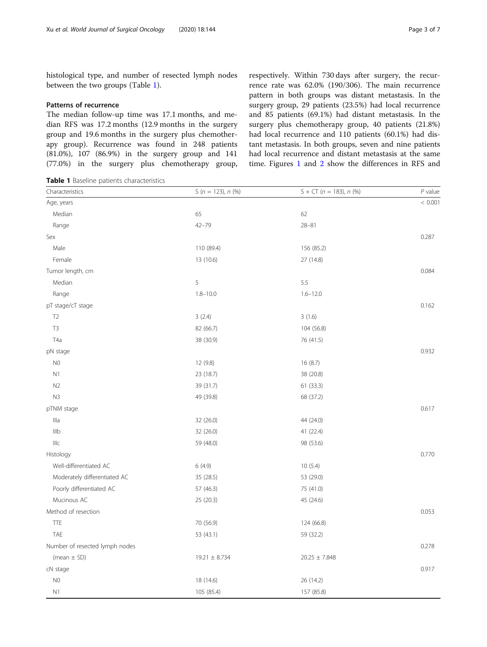histological type, and number of resected lymph nodes between the two groups (Table 1).

## Patterns of recurrence

The median follow-up time was 17.1 months, and median RFS was 17.2 months (12.9 months in the surgery group and 19.6 months in the surgery plus chemotherapy group). Recurrence was found in 248 patients (81.0%), 107 (86.9%) in the surgery group and 141 (77.0%) in the surgery plus chemotherapy group,

Table 1 Baseline patients characteristics

respectively. Within 730 days after surgery, the recurrence rate was 62.0% (190/306). The main recurrence pattern in both groups was distant metastasis. In the surgery group, 29 patients (23.5%) had local recurrence and 85 patients (69.1%) had distant metastasis. In the surgery plus chemotherapy group, 40 patients (21.8%) had local recurrence and 110 patients (60.1%) had distant metastasis. In both groups, seven and nine patients had local recurrence and distant metastasis at the same time. Figures [1](#page-3-0) and [2](#page-3-0) show the differences in RFS and

| Characteristics                | S ( $n = 123$ ), $n$ (%) | $S + CT (n = 183), n (%)$ | $P$ value |
|--------------------------------|--------------------------|---------------------------|-----------|
| Age, years                     |                          |                           | < 0.001   |
| Median                         | 65                       | 62                        |           |
| Range                          | $42 - 79$                | $28 - 81$                 |           |
| Sex                            |                          |                           | 0.287     |
| Male                           | 110 (89.4)               | 156 (85.2)                |           |
| Female                         | 13 (10.6)                | 27 (14.8)                 |           |
| Tumor length, cm               |                          |                           | 0.084     |
| Median                         | 5                        | 5.5                       |           |
| Range                          | $1.8 - 10.0$             | $1.6 - 12.0$              |           |
| pT stage/cT stage              |                          |                           | 0.162     |
| T <sub>2</sub>                 | 3(2.4)                   | 3(1.6)                    |           |
| T3                             | 82 (66.7)                | 104 (56.8)                |           |
| T <sub>4</sub> a               | 38 (30.9)                | 76 (41.5)                 |           |
| pN stage                       |                          |                           | 0.932     |
| N <sub>0</sub>                 | 12 (9.8)                 | 16 (8.7)                  |           |
| N1                             | 23 (18.7)                | 38 (20.8)                 |           |
| N2                             | 39 (31.7)                | 61(33.3)                  |           |
| N3                             | 49 (39.8)                | 68 (37.2)                 |           |
| pTNM stage                     |                          |                           | 0.617     |
| Illa                           | 32 (26.0)                | 44 (24.0)                 |           |
| IIIb                           | 32 (26.0)                | 41 (22.4)                 |           |
| IIIC                           | 59 (48.0)                | 98 (53.6)                 |           |
| Histology                      |                          |                           | 0.770     |
| Well-differentiated AC         | 6(4.9)                   | 10(5.4)                   |           |
| Moderately differentiated AC   | 35 (28.5)                | 53 (29.0)                 |           |
| Poorly differentiated AC       | 57 (46.3)                | 75 (41.0)                 |           |
| Mucinous AC                    | 25 (20.3)                | 45 (24.6)                 |           |
| Method of resection            |                          |                           | 0.053     |
| <b>TTE</b>                     | 70 (56.9)                | 124 (66.8)                |           |
| TAE                            | 53 (43.1)                | 59 (32.2)                 |           |
| Number of resected lymph nodes |                          |                           | 0.278     |
| (mean $\pm$ SD)                | $19.21 \pm 8.734$        | $20.25 \pm 7.848$         |           |
| cN stage                       |                          |                           | 0.917     |
| N <sub>0</sub>                 | 18 (14.6)                | 26 (14.2)                 |           |
| N1                             | 105 (85.4)               | 157 (85.8)                |           |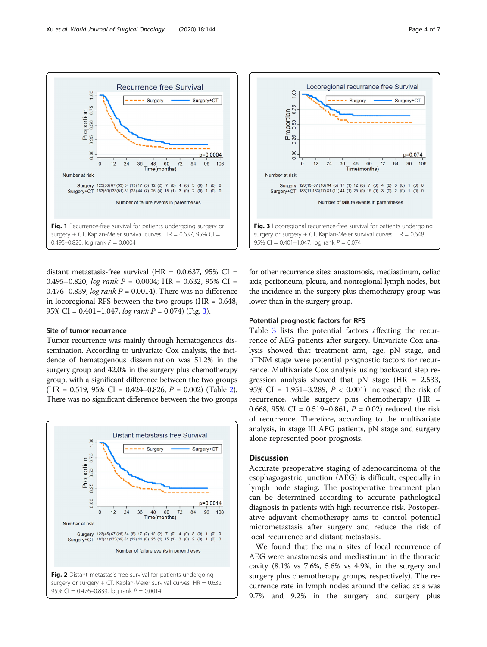<span id="page-3-0"></span>

distant metastasis-free survival (HR =  $0.0.637$ , 95% CI = 0.495–0.820, log rank  $P = 0.0004$ ; HR = 0.632, 95% CI = 0.476–0.839, log rank  $P = 0.0014$ ). There was no difference in locoregional RFS between the two groups  $(HR = 0.648,$ 95% CI =  $0.401 - 1.047$ , log rank P =  $0.074$ ) (Fig. 3).

## Site of tumor recurrence

Tumor recurrence was mainly through hematogenous dissemination. According to univariate Cox analysis, the incidence of hematogenous dissemination was 51.2% in the surgery group and 42.0% in the surgery plus chemotherapy group, with a significant difference between the two groups  $(HR = 0.519, 95\% \text{ CI} = 0.424 - 0.826, P = 0.002)$  $(HR = 0.519, 95\% \text{ CI} = 0.424 - 0.826, P = 0.002)$  $(HR = 0.519, 95\% \text{ CI} = 0.424 - 0.826, P = 0.002)$  (Table 2). There was no significant difference between the two groups



surgery or surgery  $+$  CT. Kaplan-Meier survival curves,  $HR = 0.632$ , 95% CI = 0.476-0.839, log rank  $P = 0.0014$ 



for other recurrence sites: anastomosis, mediastinum, celiac axis, peritoneum, pleura, and nonregional lymph nodes, but the incidence in the surgery plus chemotherapy group was lower than in the surgery group.

# Potential prognostic factors for RFS

Table [3](#page-4-0) lists the potential factors affecting the recurrence of AEG patients after surgery. Univariate Cox analysis showed that treatment arm, age, pN stage, and pTNM stage were potential prognostic factors for recurrence. Multivariate Cox analysis using backward step regression analysis showed that  $pN$  stage (HR = 2.533, 95% CI = 1.951–3.289, P < 0.001) increased the risk of recurrence, while surgery plus chemotherapy (HR = 0.668, 95% CI = 0.519–0.861,  $P = 0.02$ ) reduced the risk of recurrence. Therefore, according to the multivariate analysis, in stage III AEG patients, pN stage and surgery alone represented poor prognosis.

# **Discussion**

Accurate preoperative staging of adenocarcinoma of the esophagogastric junction (AEG) is difficult, especially in lymph node staging. The postoperative treatment plan can be determined according to accurate pathological diagnosis in patients with high recurrence risk. Postoperative adjuvant chemotherapy aims to control potential micrometastasis after surgery and reduce the risk of local recurrence and distant metastasis.

We found that the main sites of local recurrence of AEG were anastomosis and mediastinum in the thoracic cavity (8.1% vs 7.6%, 5.6% vs 4.9%, in the surgery and surgery plus chemotherapy groups, respectively). The recurrence rate in lymph nodes around the celiac axis was 9.7% and 9.2% in the surgery and surgery plus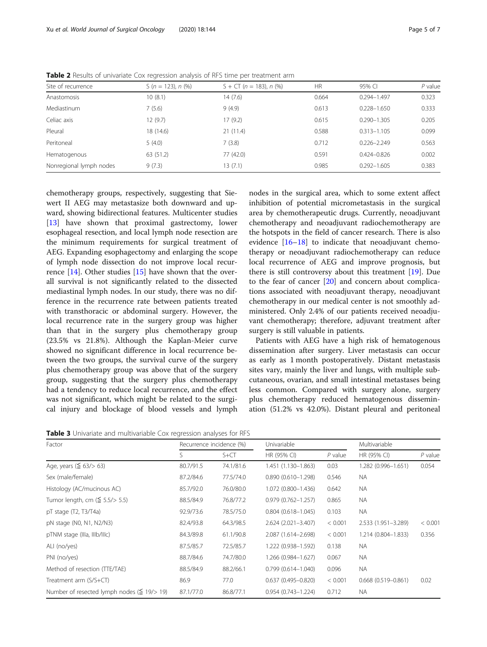nodes in the surgical area, which to some extent affect inhibition of potential micrometastasis in the surgical area by chemotherapeutic drugs. Currently, neoadjuvant chemotherapy and neoadjuvant radiochemotherapy are the hotspots in the field of cancer research. There is also evidence [\[16](#page-6-0)–[18\]](#page-6-0) to indicate that neoadjuvant chemotherapy or neoadjuvant radiochemotherapy can reduce local recurrence of AEG and improve prognosis, but there is still controversy about this treatment [[19\]](#page-6-0). Due to the fear of cancer [[20](#page-6-0)] and concern about complications associated with neoadjuvant therapy, neoadjuvant chemotherapy in our medical center is not smoothly administered. Only 2.4% of our patients received neoadjuvant chemotherapy; therefore, adjuvant treatment after

Patients with AEG have a high risk of hematogenous dissemination after surgery. Liver metastasis can occur as early as 1 month postoperatively. Distant metastasis sites vary, mainly the liver and lungs, with multiple subcutaneous, ovarian, and small intestinal metastases being less common. Compared with surgery alone, surgery plus chemotherapy reduced hematogenous dissemination (51.2% vs 42.0%). Distant pleural and peritoneal

surgery is still valuable in patients.

| Site of recurrence      | S ( $n = 123$ ), $n$ (%) | $S + CT$ (n = 183), n (%) | <b>HR</b> | 95% CI          | $P$ value |
|-------------------------|--------------------------|---------------------------|-----------|-----------------|-----------|
| Anastomosis             | 10(8.1)                  | 14(7.6)                   | 0.664     | $0.294 - 1.497$ | 0.323     |
| Mediastinum             | 7(5.6)                   | 9(4.9)                    | 0.613     | $0.228 - 1.650$ | 0.333     |
| Celiac axis             | 12(9.7)                  | 17(9.2)                   | 0.615     | $0.290 - 1.305$ | 0.205     |
| Pleural                 | 18 (14.6)                | 21(11.4)                  | 0.588     | $0.313 - 1.105$ | 0.099     |
| Peritoneal              | 5(4.0)                   | 7(3.8)                    | 0.712     | $0.226 - 2.249$ | 0.563     |
| Hematogenous            | 63 (51.2)                | 77 (42.0)                 | 0.591     | $0.424 - 0.826$ | 0.002     |
| Nonregional lymph nodes | 9(7.3)                   | 13(7.1)                   | 0.985     | $0.292 - 1.605$ | 0.383     |

<span id="page-4-0"></span>Table 2 Results of univariate Cox regression analysis of RFS time per treatment arm

chemotherapy groups, respectively, suggesting that Siewert II AEG may metastasize both downward and upward, showing bidirectional features. Multicenter studies [[13\]](#page-6-0) have shown that proximal gastrectomy, lower esophageal resection, and local lymph node resection are the minimum requirements for surgical treatment of AEG. Expanding esophagectomy and enlarging the scope of lymph node dissection do not improve local recurrence [\[14](#page-6-0)]. Other studies [[15\]](#page-6-0) have shown that the overall survival is not significantly related to the dissected mediastinal lymph nodes. In our study, there was no difference in the recurrence rate between patients treated with transthoracic or abdominal surgery. However, the local recurrence rate in the surgery group was higher than that in the surgery plus chemotherapy group (23.5% vs 21.8%). Although the Kaplan-Meier curve showed no significant difference in local recurrence between the two groups, the survival curve of the surgery plus chemotherapy group was above that of the surgery group, suggesting that the surgery plus chemotherapy had a tendency to reduce local recurrence, and the effect was not significant, which might be related to the surgical injury and blockage of blood vessels and lymph

|  |  | Table 3 Univariate and multivariable Cox regression analyses for RFS |
|--|--|----------------------------------------------------------------------|
|  |  |                                                                      |

| Factor                                              | Recurrence incidence (%) |           | Univariable            |           | Multivariable          |           |
|-----------------------------------------------------|--------------------------|-----------|------------------------|-----------|------------------------|-----------|
|                                                     | S                        | $S + CT$  | HR (95% CI)            | $P$ value | HR (95% CI)            | $P$ value |
| Age, years ( $\leq$ 63/> 63)                        | 80.7/91.5                | 74.1/81.6 | 1.451 (1.130-1.863)    | 0.03      | 1.282 (0.996-1.651)    | 0.054     |
| Sex (male/female)                                   | 87.2/84.6                | 77.5/74.0 | $0.890(0.610 - 1.298)$ | 0.546     | NA.                    |           |
| Histology (AC/mucinous AC)                          | 85.7/92.0                | 76.0/80.0 | 1.072 (0.800-1.436)    | 0.642     | NA.                    |           |
| Tumor length, cm $(\leq 5.5/> 5.5)$                 | 88.5/84.9                | 76.8/77.2 | $0.979(0.762 - 1.257)$ | 0.865     | NA.                    |           |
| $pT$ stage $(T2, T3/T4a)$                           | 92.9/73.6                | 78.5/75.0 | $0.804(0.618 - 1.045)$ | 0.103     | <b>NA</b>              |           |
| pN stage (N0, N1, N2/N3)                            | 82.4/93.8                | 64.3/98.5 | 2.624 (2.021-3.407)    | < 0.001   | 2.533 (1.951-3.289)    | < 0.001   |
| pTNM stage (IIIa, IIIb/IIIc)                        | 84.3/89.8                | 61.1/90.8 | 2.087 (1.614-2.698)    | < 0.001   | 1.214 (0.804-1.833)    | 0.356     |
| ALI (no/yes)                                        | 87.5/85.7                | 72.5/85.7 | 1.222 (0.938-1.592)    | 0.138     | NA.                    |           |
| PNI (no/yes)                                        | 88.7/84.6                | 74.7/80.0 | 1.266 (0.984-1.627)    | 0.067     | NA.                    |           |
| Method of resection (TTE/TAE)                       | 88.5/84.9                | 88.2/66.1 | $0.799(0.614 - 1.040)$ | 0.096     | NA.                    |           |
| Treatment arm (S/S+CT)                              | 86.9                     | 77.0      | $0.637(0.495 - 0.820)$ | < 0.001   | $0.668(0.519 - 0.861)$ | 0.02      |
| Number of resected lymph nodes ( $\leq$ 19/ $>$ 19) | 87.1/77.0                | 86.8/77.1 | $0.954(0.743 - 1.224)$ | 0.712     | NA.                    |           |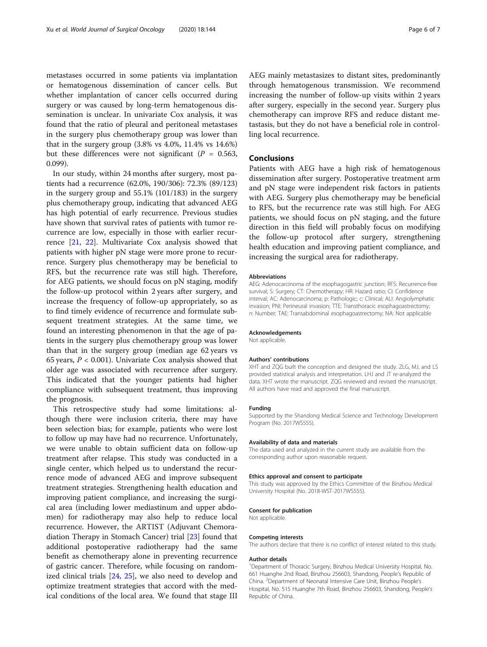metastases occurred in some patients via implantation or hematogenous dissemination of cancer cells. But whether implantation of cancer cells occurred during surgery or was caused by long-term hematogenous dissemination is unclear. In univariate Cox analysis, it was found that the ratio of pleural and peritoneal metastases in the surgery plus chemotherapy group was lower than that in the surgery group (3.8% vs 4.0%, 11.4% vs 14.6%) but these differences were not significant ( $P = 0.563$ , 0.099).

In our study, within 24 months after surgery, most patients had a recurrence (62.0%, 190/306): 72.3% (89/123) in the surgery group and 55.1% (101/183) in the surgery plus chemotherapy group, indicating that advanced AEG has high potential of early recurrence. Previous studies have shown that survival rates of patients with tumor recurrence are low, especially in those with earlier recurrence [\[21](#page-6-0), [22](#page-6-0)]. Multivariate Cox analysis showed that patients with higher pN stage were more prone to recurrence. Surgery plus chemotherapy may be beneficial to RFS, but the recurrence rate was still high. Therefore, for AEG patients, we should focus on pN staging, modify the follow-up protocol within 2 years after surgery, and increase the frequency of follow-up appropriately, so as to find timely evidence of recurrence and formulate subsequent treatment strategies. At the same time, we found an interesting phenomenon in that the age of patients in the surgery plus chemotherapy group was lower than that in the surgery group (median age 62 years vs 65 years,  $P < 0.001$ ). Univariate Cox analysis showed that older age was associated with recurrence after surgery. This indicated that the younger patients had higher compliance with subsequent treatment, thus improving the prognosis.

This retrospective study had some limitations: although there were inclusion criteria, there may have been selection bias; for example, patients who were lost to follow up may have had no recurrence. Unfortunately, we were unable to obtain sufficient data on follow-up treatment after relapse. This study was conducted in a single center, which helped us to understand the recurrence mode of advanced AEG and improve subsequent treatment strategies. Strengthening health education and improving patient compliance, and increasing the surgical area (including lower mediastinum and upper abdomen) for radiotherapy may also help to reduce local recurrence. However, the ARTIST (Adjuvant Chemoradiation Therapy in Stomach Cancer) trial [[23\]](#page-6-0) found that additional postoperative radiotherapy had the same benefit as chemotherapy alone in preventing recurrence of gastric cancer. Therefore, while focusing on randomized clinical trials [\[24](#page-6-0), [25\]](#page-6-0), we also need to develop and optimize treatment strategies that accord with the medical conditions of the local area. We found that stage III AEG mainly metastasizes to distant sites, predominantly through hematogenous transmission. We recommend increasing the number of follow-up visits within 2 years after surgery, especially in the second year. Surgery plus chemotherapy can improve RFS and reduce distant metastasis, but they do not have a beneficial role in controlling local recurrence.

# Conclusions

Patients with AEG have a high risk of hematogenous dissemination after surgery. Postoperative treatment arm and pN stage were independent risk factors in patients with AEG. Surgery plus chemotherapy may be beneficial to RFS, but the recurrence rate was still high. For AEG patients, we should focus on pN staging, and the future direction in this field will probably focus on modifying the follow-up protocol after surgery, strengthening health education and improving patient compliance, and increasing the surgical area for radiotherapy.

#### Abbreviations

AEG: Adenocarcinoma of the esophagogastric junction; RFS: Recurrence-free survival; S: Surgery; CT: Chemotherapy; HR: Hazard ratio; CI: Confidence interval; AC: Adenocarcinoma; p: Pathologic; c: Clinical; ALI: Angiolymphatic invasion; PNI: Perineural invasion; TTE: Transthoracic esophagoastrectomy; n: Number; TAE: Transabdominal esophagoastrectomy; NA: Not applicable

#### Acknowledgements

Not applicable.

#### Authors' contributions

XHT and ZQG built the conception and designed the study. ZLG, MJ, and LS provided statistical analysis and interpretation. LHJ and JT re-analyzed the data. XHT wrote the manuscript. ZQG reviewed and revised the manuscript. All authors have read and approved the final manuscript.

#### Funding

Supported by the Shandong Medical Science and Technology Development Program (No. 2017WS555).

#### Availability of data and materials

The data used and analyzed in the current study are available from the corresponding author upon reasonable request.

#### Ethics approval and consent to participate

This study was approved by the Ethics Committee of the Binzhou Medical University Hospital (No. 2018-WST-2017WS555).

#### Consent for publication

Not applicable.

#### Competing interests

The authors declare that there is no conflict of interest related to this study.

#### Author details

<sup>1</sup> Department of Thoracic Surgery, Binzhou Medical University Hospital, No. 661 Huanghe 2nd Road, Binzhou 256603, Shandong, People's Republic of China. <sup>2</sup> Department of Neonatal Intensive Care Unit, Binzhou People's Hospital, No. 515 Huanghe 7th Road, Binzhou 256603, Shandong, People's Republic of China.